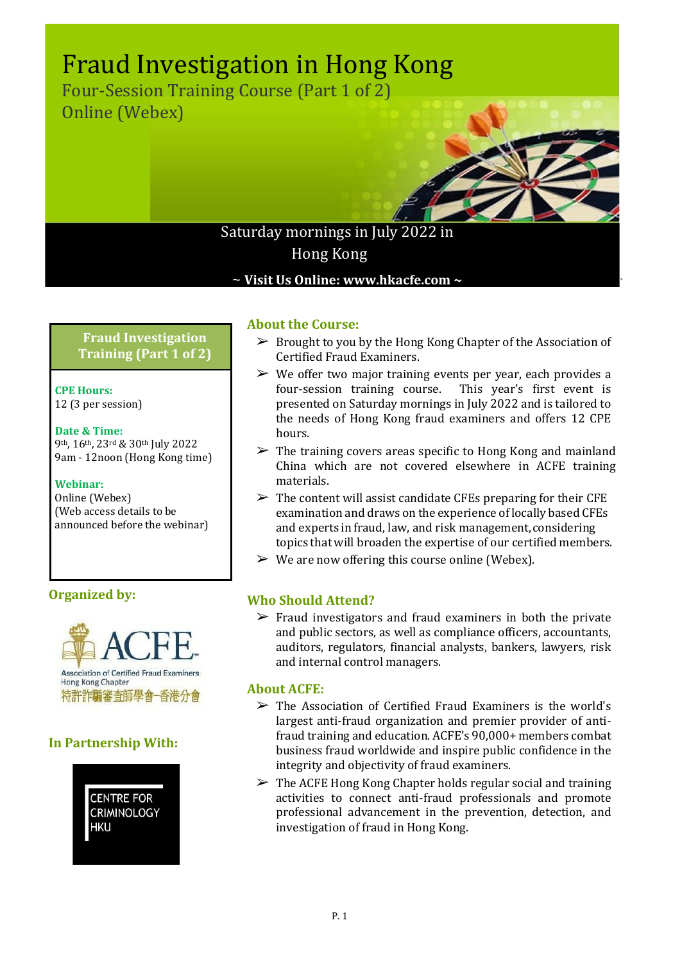# Fraud Investigation in Hong Kong

Four-Session Training Course (Part 1 of 2) Online (Webex)



`

# Saturday mornings in July 2022 in Hong Kong

~ **Visit Us Online: www.hkacfe.com ~**

**Fraud Investigation Training (Part 1 of 2)**

**CPE Hours:** 12 (3 per session)

## **Date & Time:**

9th, 16th, 23rd & 30th July 2022 9am - 12noon (Hong Kong time)

## **Webinar:**

Online (Webex) (Web access details to be announced before the webinar)

## **Organized by:**



## **In Partnership With:**



## **About the Course:**

- ➢ Brought to you by the Hong Kong Chapter of the Association of Certified Fraud Examiners.
- $\triangleright$  We offer two major training events per year, each provides a four-session training course. This year's first event is presented on Saturday mornings in July 2022 and is tailored to the needs of Hong Kong fraud examiners and offers 12 CPE hours.
- $\triangleright$  The training covers areas specific to Hong Kong and mainland China which are not covered elsewhere in ACFE training materials.
- $\triangleright$  The content will assist candidate CFEs preparing for their CFE examination and draws on the experience of locally based CFEs and experts in fraud, law, and risk management,considering topics that will broaden the expertise of our certified members.
- $\triangleright$  We are now offering this course online (Webex).

## **Who Should Attend?**

 $\triangleright$  Fraud investigators and fraud examiners in both the private and public sectors, as well as compliance officers, accountants, auditors, regulators, financial analysts, bankers, lawyers, risk and internal control managers.

## **About ACFE:**

- $\triangleright$  The Association of Certified Fraud Examiners is the world's largest anti-fraud organization and premier provider of antifraud training and education. ACFE's 90,000+ members combat business fraud worldwide and inspire public confidence in the integrity and objectivity of fraud examiners.
- $\triangleright$  The ACFE Hong Kong Chapter holds regular social and training activities to connect anti-fraud professionals and promote professional advancement in the prevention, detection, and investigation of fraud in Hong Kong.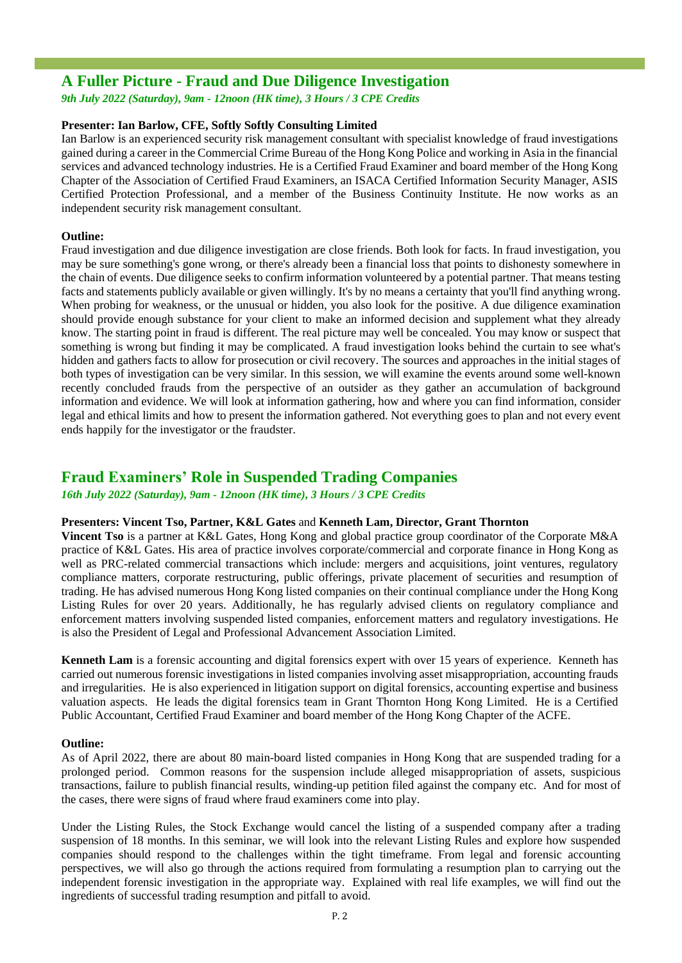## **A Fuller Picture - Fraud and Due Diligence Investigation**

*9th July 2022 (Saturday), 9am - 12noon (HK time), 3 Hours / 3 CPE Credits*

#### **Presenter: Ian Barlow, CFE, Softly Softly Consulting Limited**

Ian Barlow is an experienced security risk management consultant with specialist knowledge of fraud investigations gained during a career in the Commercial Crime Bureau of the Hong Kong Police and working in Asia in the financial services and advanced technology industries. He is a Certified Fraud Examiner and board member of the Hong Kong Chapter of the Association of Certified Fraud Examiners, an ISACA Certified Information Security Manager, ASIS Certified Protection Professional, and a member of the Business Continuity Institute. He now works as an independent security risk management consultant.

#### **Outline:**

Fraud investigation and due diligence investigation are close friends. Both look for facts. In fraud investigation, you may be sure something's gone wrong, or there's already been a financial loss that points to dishonesty somewhere in the chain of events. Due diligence seeks to confirm information volunteered by a potential partner. That means testing facts and statements publicly available or given willingly. It's by no means a certainty that you'll find anything wrong. When probing for weakness, or the unusual or hidden, you also look for the positive. A due diligence examination should provide enough substance for your client to make an informed decision and supplement what they already know. The starting point in fraud is different. The real picture may well be concealed. You may know or suspect that something is wrong but finding it may be complicated. A fraud investigation looks behind the curtain to see what's hidden and gathers facts to allow for prosecution or civil recovery. The sources and approaches in the initial stages of both types of investigation can be very similar. In this session, we will examine the events around some well-known recently concluded frauds from the perspective of an outsider as they gather an accumulation of background information and evidence. We will look at information gathering, how and where you can find information, consider legal and ethical limits and how to present the information gathered. Not everything goes to plan and not every event ends happily for the investigator or the fraudster.

## **Fraud Examiners' Role in Suspended Trading Companies**

*16th July 2022 (Saturday), 9am - 12noon (HK time), 3 Hours / 3 CPE Credits*

#### **Presenters: Vincent Tso, Partner, K&L Gates** and **Kenneth Lam, Director, Grant Thornton**

**Vincent Tso** is a partner at K&L Gates, Hong Kong and global practice group coordinator of the Corporate M&A practice of K&L Gates. His area of practice involves corporate/commercial and corporate finance in Hong Kong as well as PRC-related commercial transactions which include: mergers and acquisitions, joint ventures, regulatory compliance matters, corporate restructuring, public offerings, private placement of securities and resumption of trading. He has advised numerous Hong Kong listed companies on their continual compliance under the Hong Kong Listing Rules for over 20 years. Additionally, he has regularly advised clients on regulatory compliance and enforcement matters involving suspended listed companies, enforcement matters and regulatory investigations. He is also the President of Legal and Professional Advancement Association Limited.

**Kenneth Lam** is a forensic accounting and digital forensics expert with over 15 years of experience. Kenneth has carried out numerous forensic investigations in listed companies involving asset misappropriation, accounting frauds and irregularities. He is also experienced in litigation support on digital forensics, accounting expertise and business valuation aspects. He leads the digital forensics team in Grant Thornton Hong Kong Limited. He is a Certified Public Accountant, Certified Fraud Examiner and board member of the Hong Kong Chapter of the ACFE.

#### **Outline:**

As of April 2022, there are about 80 main-board listed companies in Hong Kong that are suspended trading for a prolonged period. Common reasons for the suspension include alleged misappropriation of assets, suspicious transactions, failure to publish financial results, winding-up petition filed against the company etc. And for most of the cases, there were signs of fraud where fraud examiners come into play.

Under the Listing Rules, the Stock Exchange would cancel the listing of a suspended company after a trading suspension of 18 months. In this seminar, we will look into the relevant Listing Rules and explore how suspended companies should respond to the challenges within the tight timeframe. From legal and forensic accounting perspectives, we will also go through the actions required from formulating a resumption plan to carrying out the independent forensic investigation in the appropriate way. Explained with real life examples, we will find out the ingredients of successful trading resumption and pitfall to avoid.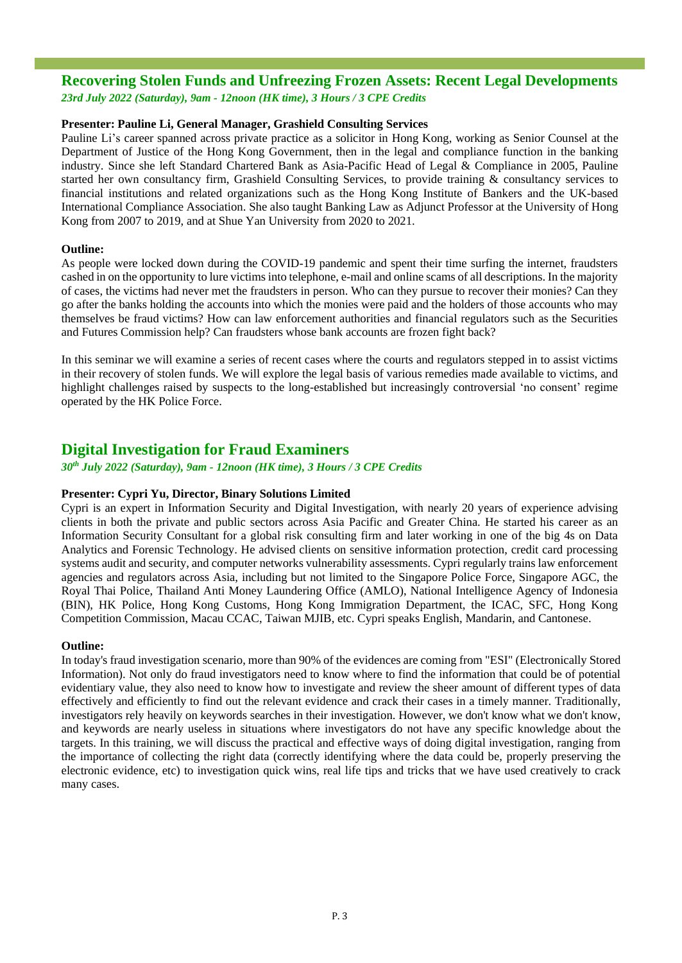## **Recovering Stolen Funds and Unfreezing Frozen Assets: Recent Legal Developments**

*23rd July 2022 (Saturday), 9am - 12noon (HK time), 3 Hours / 3 CPE Credits*

#### **Presenter: Pauline Li, General Manager, Grashield Consulting Services**

Pauline Li's career spanned across private practice as a solicitor in Hong Kong, working as Senior Counsel at the Department of Justice of the Hong Kong Government, then in the legal and compliance function in the banking industry. Since she left Standard Chartered Bank as Asia-Pacific Head of Legal & Compliance in 2005, Pauline started her own consultancy firm, Grashield Consulting Services, to provide training & consultancy services to financial institutions and related organizations such as the Hong Kong Institute of Bankers and the UK-based International Compliance Association. She also taught Banking Law as Adjunct Professor at the University of Hong Kong from 2007 to 2019, and at Shue Yan University from 2020 to 2021.

#### **Outline:**

As people were locked down during the COVID-19 pandemic and spent their time surfing the internet, fraudsters cashed in on the opportunity to lure victims into telephone, e-mail and online scams of all descriptions. In the majority of cases, the victims had never met the fraudsters in person. Who can they pursue to recover their monies? Can they go after the banks holding the accounts into which the monies were paid and the holders of those accounts who may themselves be fraud victims? How can law enforcement authorities and financial regulators such as the Securities and Futures Commission help? Can fraudsters whose bank accounts are frozen fight back?

In this seminar we will examine a series of recent cases where the courts and regulators stepped in to assist victims in their recovery of stolen funds. We will explore the legal basis of various remedies made available to victims, and highlight challenges raised by suspects to the long-established but increasingly controversial 'no consent' regime operated by the HK Police Force.

## **Digital Investigation for Fraud Examiners**

*30th July 2022 (Saturday), 9am - 12noon (HK time), 3 Hours / 3 CPE Credits*

#### **Presenter: Cypri Yu, Director, Binary Solutions Limited**

Cypri is an expert in Information Security and Digital Investigation, with nearly 20 years of experience advising clients in both the private and public sectors across Asia Pacific and Greater China. He started his career as an Information Security Consultant for a global risk consulting firm and later working in one of the big 4s on Data Analytics and Forensic Technology. He advised clients on sensitive information protection, credit card processing systems audit and security, and computer networks vulnerability assessments. Cypri regularly trains law enforcement agencies and regulators across Asia, including but not limited to the Singapore Police Force, Singapore AGC, the Royal Thai Police, Thailand Anti Money Laundering Office (AMLO), National Intelligence Agency of Indonesia (BIN), HK Police, Hong Kong Customs, Hong Kong Immigration Department, the ICAC, SFC, Hong Kong Competition Commission, Macau CCAC, Taiwan MJIB, etc. Cypri speaks English, Mandarin, and Cantonese.

#### **Outline:**

In today's fraud investigation scenario, more than 90% of the evidences are coming from "ESI" (Electronically Stored Information). Not only do fraud investigators need to know where to find the information that could be of potential evidentiary value, they also need to know how to investigate and review the sheer amount of different types of data effectively and efficiently to find out the relevant evidence and crack their cases in a timely manner. Traditionally, investigators rely heavily on keywords searches in their investigation. However, we don't know what we don't know, and keywords are nearly useless in situations where investigators do not have any specific knowledge about the targets. In this training, we will discuss the practical and effective ways of doing digital investigation, ranging from the importance of collecting the right data (correctly identifying where the data could be, properly preserving the electronic evidence, etc) to investigation quick wins, real life tips and tricks that we have used creatively to crack many cases.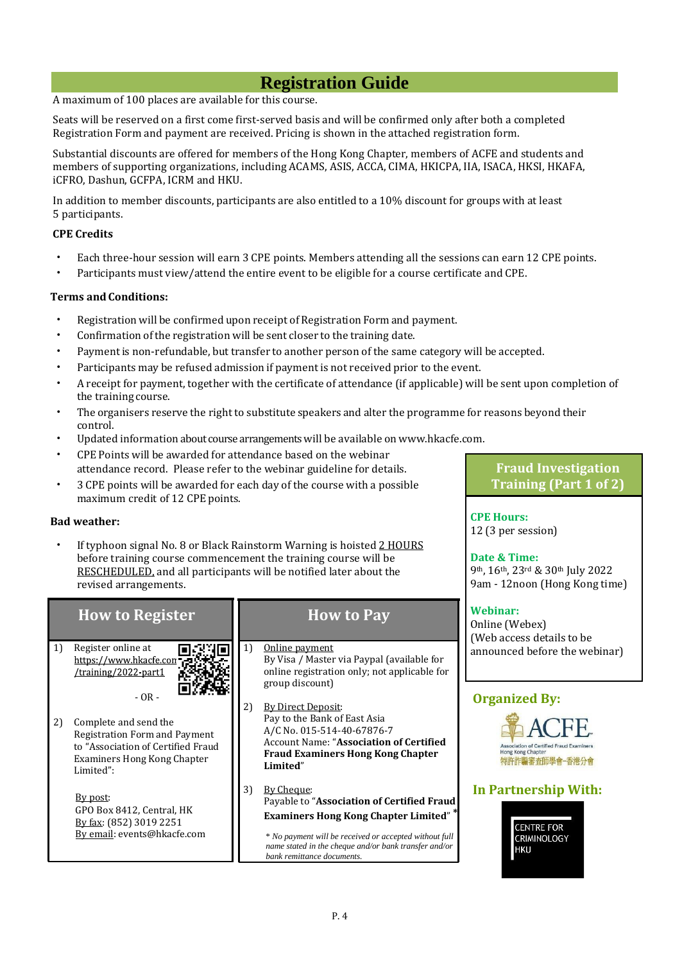# **Registration Guide**

A maximum of 100 places are available for this course.

Seats will be reserved on a first come first-served basis and will be confirmed only after both a completed Registration Form and payment are received. Pricing is shown in the attached registration form.

Substantial discounts are offered for members of the Hong Kong Chapter, members of ACFE and students and members of supporting organizations, including ACAMS, ASIS, ACCA, CIMA, HKICPA, IIA, ISACA, HKSI, HKAFA, iCFRO, Dashun, GCFPA, ICRM and HKU.

In addition to member discounts, participants are also entitled to a 10% discount for groups with at least 5 participants.

#### **CPE Credits**

- Each three-hour session will earn 3 CPE points. Members attending all the sessions can earn 12 CPE points.
- Participants must view/attend the entire event to be eligible for a course certificate and CPE.

#### **Terms and Conditions:**

- Registration will be confirmed upon receipt of Registration Form and payment.
- Confirmation of the registration will be sent closer to the training date.
- Payment is non-refundable, but transfer to another person of the same category will be accepted.
- Participants may be refused admission if payment is not received prior to the event.
- A receipt for payment, together with the certificate of attendance (if applicable) will be sent upon completion of the training course.

**CPE Hours:** 12 (3 per session)

**Date & Time:**

9th, 16th, 23rd & 30th July 2022

**Fraud Investigation Training (Part 1 of 2)**

- The organisers reserve the right to substitute speakers and alter the programme for reasons beyond their control.
- Updated information about course arrangementswill be available on [www.hkacfe.com.](http://www.hkacfe.com/)
- CPE Points will be awarded for attendance based on the webinar attendance record. Please refer to the webinar guideline for details.
- 3 CPE points will be awarded for each day of the course with a possible maximum credit of 12 CPE points.

#### **Bad weather:**

If typhoon signal No. 8 or Black Rainstorm Warning is hoisted 2 HOURS before training course commencement the training course will be RESCHEDULED, and all participants will be notified later about the revised arrangements.

|                        | revised arrangements.                                                                                                                    | 9am - 12noon (Hong Kong time) |                                                                                                                                                                                                                                                          |                                                                                                                                          |  |
|------------------------|------------------------------------------------------------------------------------------------------------------------------------------|-------------------------------|----------------------------------------------------------------------------------------------------------------------------------------------------------------------------------------------------------------------------------------------------------|------------------------------------------------------------------------------------------------------------------------------------------|--|
| <b>How to Register</b> |                                                                                                                                          |                               | <b>How to Pay</b>                                                                                                                                                                                                                                        | Webinar:<br>Online (Webex)<br>(Web access details to be                                                                                  |  |
| 1)                     | Register online at<br>https://www.hkacfe.con<br>/training/2022-part1<br>$-OR -$                                                          | 1)                            | Online payment<br>By Visa / Master via Paypal (available for<br>online registration only; not applicable for<br>group discount)                                                                                                                          | announced before the webinar)<br><b>Organized By:</b><br>Association of Certified Fraud Examiners<br>Hong Kong Chapter<br>特許詐騙審査師學會-香港分會 |  |
| 2)                     | Complete and send the<br>Registration Form and Payment<br>to "Association of Certified Fraud<br>Examiners Hong Kong Chapter<br>Limited": | 2)                            | <b>By Direct Deposit:</b><br>Pay to the Bank of East Asia<br>A/C No. 015-514-40-67876-7<br><b>Account Name: "Association of Certified</b><br><b>Fraud Examiners Hong Kong Chapter</b><br>Limited"                                                        |                                                                                                                                          |  |
|                        | By post:<br>GPO Box 8412, Central, HK<br>By fax: (852) 3019 2251<br>By email: events@hkacfe.com                                          | 3)                            | By Cheque:<br>Payable to "Association of Certified Fraud<br><b>Examiners Hong Kong Chapter Limited"</b><br>* No payment will be received or accepted without full<br>name stated in the cheque and/or bank transfer and/or<br>bank remittance documents. | <b>In Partnership With:</b><br><b>CENTRE FOR</b><br><b>CRIMINOLOGY</b><br><b>HKU</b>                                                     |  |
|                        |                                                                                                                                          |                               |                                                                                                                                                                                                                                                          |                                                                                                                                          |  |